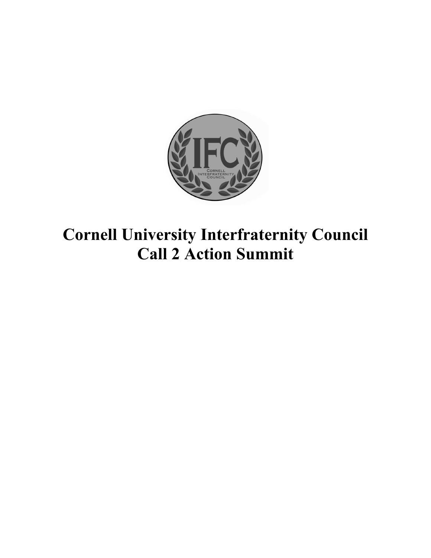

# **Cornell University Interfraternity Council Call 2 Action Summit**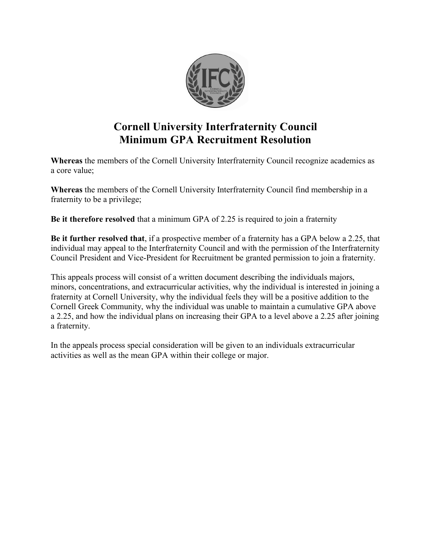

## **Cornell University Interfraternity Council Minimum GPA Recruitment Resolution**

**Whereas** the members of the Cornell University Interfraternity Council recognize academics as a core value;

**Whereas** the members of the Cornell University Interfraternity Council find membership in a fraternity to be a privilege;

**Be it therefore resolved** that a minimum GPA of 2.25 is required to join a fraternity

**Be it further resolved that**, if a prospective member of a fraternity has a GPA below a 2.25, that individual may appeal to the Interfraternity Council and with the permission of the Interfraternity Council President and Vice-President for Recruitment be granted permission to join a fraternity.

This appeals process will consist of a written document describing the individuals majors, minors, concentrations, and extracurricular activities, why the individual is interested in joining a fraternity at Cornell University, why the individual feels they will be a positive addition to the Cornell Greek Community, why the individual was unable to maintain a cumulative GPA above a 2.25, and how the individual plans on increasing their GPA to a level above a 2.25 after joining a fraternity.

In the appeals process special consideration will be given to an individuals extracurricular activities as well as the mean GPA within their college or major.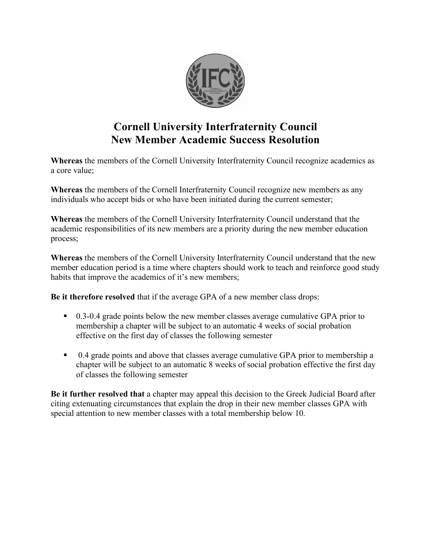

## **Cornell University Interfraternity Council New Member Academic Success Resolution**

**Whereas** the members of the Cornell University Interfraternity Council recognize academics as a core value;

**Whereas** the members of the Cornell Interfraternity Council recognize new members as any individuals who accept bids or who have been initiated during the current semester;

**Whereas** the members of the Cornell University Interfraternity Council understand that the academic responsibilities of its new members are a priority during the new member education process;

**Whereas** the members of the Cornell University Interfraternity Council understand that the new member education period is a time where chapters should work to teach and reinforce good study habits that improve the academics of it's new members;

**Be it therefore resolved** that if the average GPA of a new member class drops:

- 0.3-0.4 grade points below the new member classes average cumulative GPA prior to membership a chapter will be subject to an automatic 4 weeks of social probation effective on the first day of classes the following semester
- 0.4 grade points and above that classes average cumulative GPA prior to membership a chapter will be subject to an automatic 8 weeks of social probation effective the first day of classes the following semester

**Be it further resolved that** a chapter may appeal this decision to the Greek Judicial Board after citing extenuating circumstances that explain the drop in their new member classes GPA with special attention to new member classes with a total membership below 10.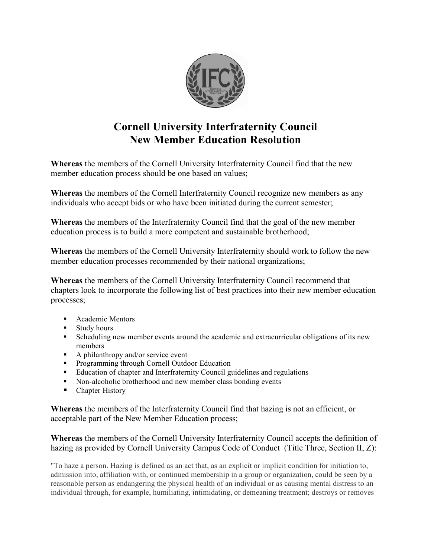

# **Cornell University Interfraternity Council New Member Education Resolution**

**Whereas** the members of the Cornell University Interfraternity Council find that the new member education process should be one based on values;

**Whereas** the members of the Cornell Interfraternity Council recognize new members as any individuals who accept bids or who have been initiated during the current semester;

**Whereas** the members of the Interfraternity Council find that the goal of the new member education process is to build a more competent and sustainable brotherhood;

**Whereas** the members of the Cornell University Interfraternity should work to follow the new member education processes recommended by their national organizations;

**Whereas** the members of the Cornell University Interfraternity Council recommend that chapters look to incorporate the following list of best practices into their new member education processes;

- **Academic Mentors**
- **Study hours**
- Scheduling new member events around the academic and extracurricular obligations of its new members
- $\blacksquare$  A philanthropy and/or service event
- **Programming through Cornell Outdoor Education**
- Education of chapter and Interfraternity Council guidelines and regulations
- Non-alcoholic brotherhood and new member class bonding events
- Chapter History

**Whereas** the members of the Interfraternity Council find that hazing is not an efficient, or acceptable part of the New Member Education process;

**Whereas** the members of the Cornell University Interfraternity Council accepts the definition of hazing as provided by Cornell University Campus Code of Conduct (Title Three, Section II, Z):

"To haze a person. Hazing is defined as an act that, as an explicit or implicit condition for initiation to, admission into, affiliation with, or continued membership in a group or organization, could be seen by a reasonable person as endangering the physical health of an individual or as causing mental distress to an individual through, for example, humiliating, intimidating, or demeaning treatment; destroys or removes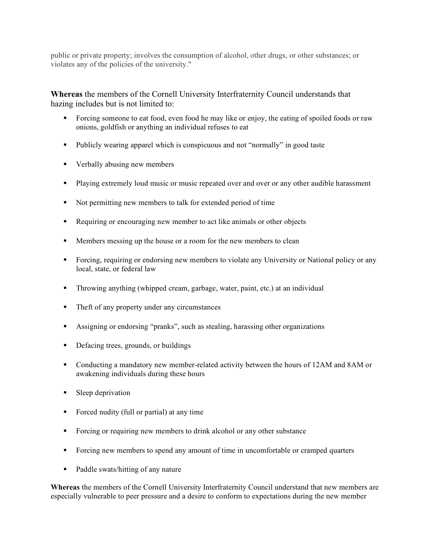public or private property; involves the consumption of alcohol, other drugs, or other substances; or violates any of the policies of the university."

**Whereas** the members of the Cornell University Interfraternity Council understands that hazing includes but is not limited to:

- Forcing someone to eat food, even food he may like or enjoy, the eating of spoiled foods or raw onions, goldfish or anything an individual refuses to eat
- Publicly wearing apparel which is conspicuous and not "normally" in good taste
- Verbally abusing new members
- Playing extremely loud music or music repeated over and over or any other audible harassment
- Not permitting new members to talk for extended period of time
- Requiring or encouraging new member to act like animals or other objects
- **Members messing up the house or a room for the new members to clean**
- Forcing, requiring or endorsing new members to violate any University or National policy or any local, state, or federal law
- Throwing anything (whipped cream, garbage, water, paint, etc.) at an individual
- Theft of any property under any circumstances
- Assigning or endorsing "pranks", such as stealing, harassing other organizations
- Defacing trees, grounds, or buildings
- Conducting a mandatory new member-related activity between the hours of 12AM and 8AM or awakening individuals during these hours
- **Sleep deprivation**
- Forced nudity (full or partial) at any time
- Forcing or requiring new members to drink alcohol or any other substance
- Forcing new members to spend any amount of time in uncomfortable or cramped quarters
- Paddle swats/hitting of any nature

**Whereas** the members of the Cornell University Interfraternity Council understand that new members are especially vulnerable to peer pressure and a desire to conform to expectations during the new member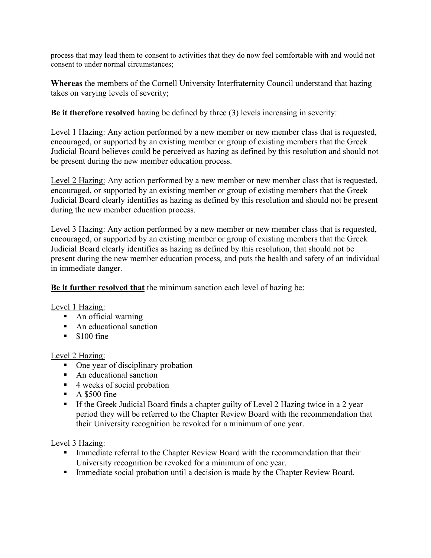process that may lead them to consent to activities that they do now feel comfortable with and would not consent to under normal circumstances;

**Whereas** the members of the Cornell University Interfraternity Council understand that hazing takes on varying levels of severity;

**Be it therefore resolved** hazing be defined by three (3) levels increasing in severity:

Level 1 Hazing: Any action performed by a new member or new member class that is requested, encouraged, or supported by an existing member or group of existing members that the Greek Judicial Board believes could be perceived as hazing as defined by this resolution and should not be present during the new member education process.

Level 2 Hazing: Any action performed by a new member or new member class that is requested, encouraged, or supported by an existing member or group of existing members that the Greek Judicial Board clearly identifies as hazing as defined by this resolution and should not be present during the new member education process.

Level 3 Hazing: Any action performed by a new member or new member class that is requested, encouraged, or supported by an existing member or group of existing members that the Greek Judicial Board clearly identifies as hazing as defined by this resolution, that should not be present during the new member education process, and puts the health and safety of an individual in immediate danger.

**Be it further resolved that** the minimum sanction each level of hazing be:

Level 1 Hazing:

- An official warning
- An educational sanction
- $\blacksquare$  \$100 fine

#### Level 2 Hazing:

- One year of disciplinary probation
- An educational sanction
- 4 weeks of social probation
- $\blacksquare$  A \$500 fine
- If the Greek Judicial Board finds a chapter guilty of Level 2 Hazing twice in a 2 year period they will be referred to the Chapter Review Board with the recommendation that their University recognition be revoked for a minimum of one year.

Level 3 Hazing:

- **Immediate referral to the Chapter Review Board with the recommendation that their** University recognition be revoked for a minimum of one year.
- **Immediate social probation until a decision is made by the Chapter Review Board.**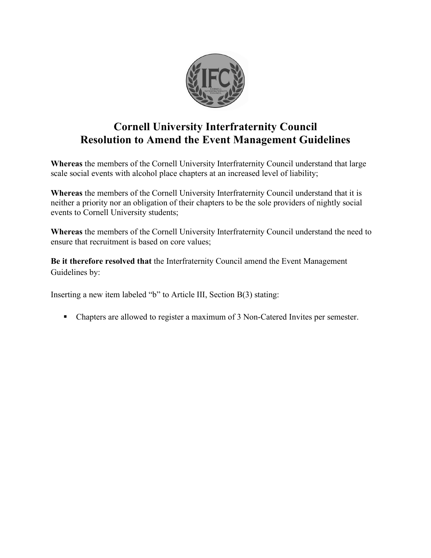

# **Cornell University Interfraternity Council Resolution to Amend the Event Management Guidelines**

**Whereas** the members of the Cornell University Interfraternity Council understand that large scale social events with alcohol place chapters at an increased level of liability;

**Whereas** the members of the Cornell University Interfraternity Council understand that it is neither a priority nor an obligation of their chapters to be the sole providers of nightly social events to Cornell University students;

**Whereas** the members of the Cornell University Interfraternity Council understand the need to ensure that recruitment is based on core values;

**Be it therefore resolved that** the Interfraternity Council amend the Event Management Guidelines by:

Inserting a new item labeled "b" to Article III, Section B(3) stating:

Chapters are allowed to register a maximum of 3 Non-Catered Invites per semester.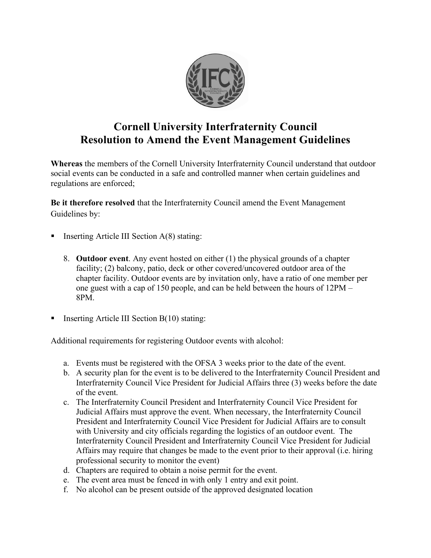

# **Cornell University Interfraternity Council Resolution to Amend the Event Management Guidelines**

**Whereas** the members of the Cornell University Interfraternity Council understand that outdoor social events can be conducted in a safe and controlled manner when certain guidelines and regulations are enforced;

**Be it therefore resolved** that the Interfraternity Council amend the Event Management Guidelines by:

- Inserting Article III Section A(8) stating:
	- 8. **Outdoor event**. Any event hosted on either (1) the physical grounds of a chapter facility; (2) balcony, patio, deck or other covered/uncovered outdoor area of the chapter facility. Outdoor events are by invitation only, have a ratio of one member per one guest with a cap of 150 people, and can be held between the hours of 12PM – 8PM.
- **Inserting Article III Section B(10) stating:**

Additional requirements for registering Outdoor events with alcohol:

- a. Events must be registered with the OFSA 3 weeks prior to the date of the event.
- b. A security plan for the event is to be delivered to the Interfraternity Council President and Interfraternity Council Vice President for Judicial Affairs three (3) weeks before the date of the event.
- c. The Interfraternity Council President and Interfraternity Council Vice President for Judicial Affairs must approve the event. When necessary, the Interfraternity Council President and Interfraternity Council Vice President for Judicial Affairs are to consult with University and city officials regarding the logistics of an outdoor event. The Interfraternity Council President and Interfraternity Council Vice President for Judicial Affairs may require that changes be made to the event prior to their approval (i.e. hiring professional security to monitor the event)
- d. Chapters are required to obtain a noise permit for the event.
- e. The event area must be fenced in with only 1 entry and exit point.
- f. No alcohol can be present outside of the approved designated location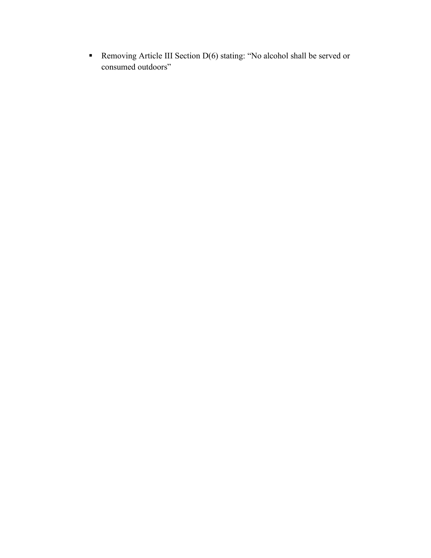■ Removing Article III Section D(6) stating: "No alcohol shall be served or consumed outdoors"